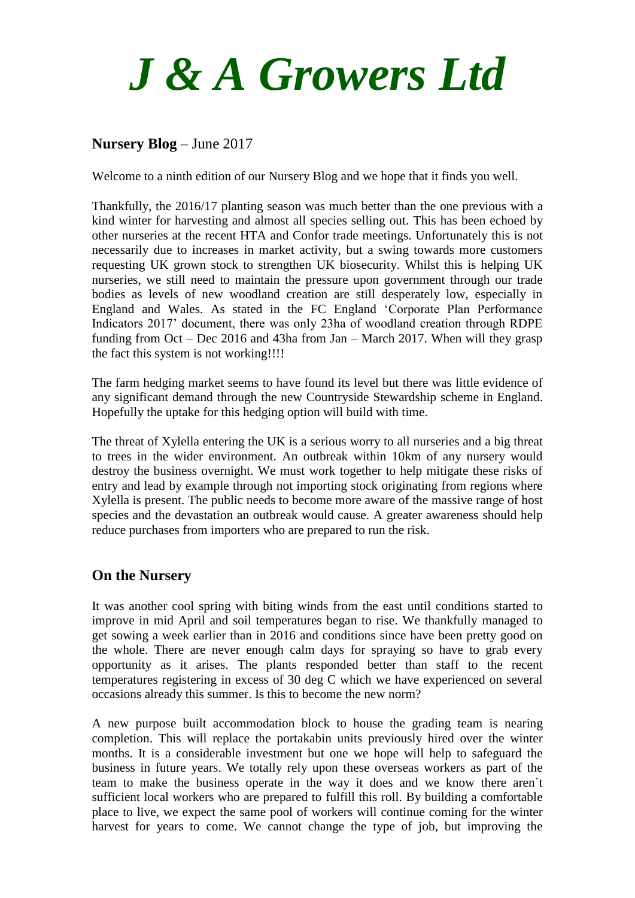

## **Nursery Blog** – June 2017

Welcome to a ninth edition of our Nursery Blog and we hope that it finds you well.

Thankfully, the 2016/17 planting season was much better than the one previous with a kind winter for harvesting and almost all species selling out. This has been echoed by other nurseries at the recent HTA and Confor trade meetings. Unfortunately this is not necessarily due to increases in market activity, but a swing towards more customers requesting UK grown stock to strengthen UK biosecurity. Whilst this is helping UK nurseries, we still need to maintain the pressure upon government through our trade bodies as levels of new woodland creation are still desperately low, especially in England and Wales. As stated in the FC England 'Corporate Plan Performance Indicators 2017' document, there was only 23ha of woodland creation through RDPE funding from Oct – Dec 2016 and 43ha from Jan – March 2017. When will they grasp the fact this system is not working!!!!

The farm hedging market seems to have found its level but there was little evidence of any significant demand through the new Countryside Stewardship scheme in England. Hopefully the uptake for this hedging option will build with time.

The threat of Xylella entering the UK is a serious worry to all nurseries and a big threat to trees in the wider environment. An outbreak within 10km of any nursery would destroy the business overnight. We must work together to help mitigate these risks of entry and lead by example through not importing stock originating from regions where Xylella is present. The public needs to become more aware of the massive range of host species and the devastation an outbreak would cause. A greater awareness should help reduce purchases from importers who are prepared to run the risk.

## **On the Nursery**

It was another cool spring with biting winds from the east until conditions started to improve in mid April and soil temperatures began to rise. We thankfully managed to get sowing a week earlier than in 2016 and conditions since have been pretty good on the whole. There are never enough calm days for spraying so have to grab every opportunity as it arises. The plants responded better than staff to the recent temperatures registering in excess of 30 deg C which we have experienced on several occasions already this summer. Is this to become the new norm?

A new purpose built accommodation block to house the grading team is nearing completion. This will replace the portakabin units previously hired over the winter months. It is a considerable investment but one we hope will help to safeguard the business in future years. We totally rely upon these overseas workers as part of the team to make the business operate in the way it does and we know there aren`t sufficient local workers who are prepared to fulfill this roll. By building a comfortable place to live, we expect the same pool of workers will continue coming for the winter harvest for years to come. We cannot change the type of job, but improving the